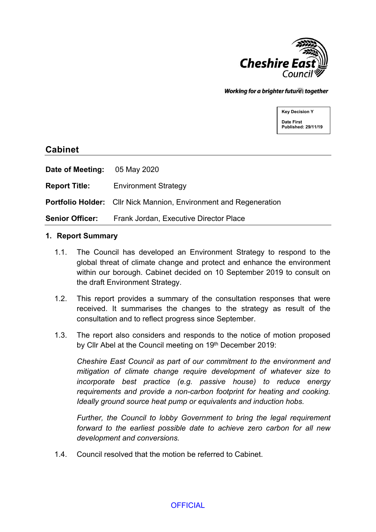

Working for a brighter futures together

**Key Decision Y Date First Published: 29/11/19**

# **Cabinet**

**Date of Meeting:** 05 May 2020

**Report Title:** Environment Strategy

**Portfolio Holder:** Cllr Nick Mannion, Environment and Regeneration

**Senior Officer:** Frank Jordan, Executive Director Place

#### **1. Report Summary**

- 1.1. The Council has developed an Environment Strategy to respond to the global threat of climate change and protect and enhance the environment within our borough. Cabinet decided on 10 September 2019 to consult on the draft Environment Strategy.
- 1.2. This report provides a summary of the consultation responses that were received. It summarises the changes to the strategy as result of the consultation and to reflect progress since September.
- 1.3. The report also considers and responds to the notice of motion proposed by Cllr Abel at the Council meeting on 19th December 2019:

*Cheshire East Council as part of our commitment to the environment and mitigation of climate change require development of whatever size to incorporate best practice (e.g. passive house) to reduce energy requirements and provide a non-carbon footprint for heating and cooking. Ideally ground source heat pump or equivalents and induction hobs.*

*Further, the Council to lobby Government to bring the legal requirement forward to the earliest possible date to achieve zero carbon for all new development and conversions.*

1.4. Council resolved that the motion be referred to Cabinet.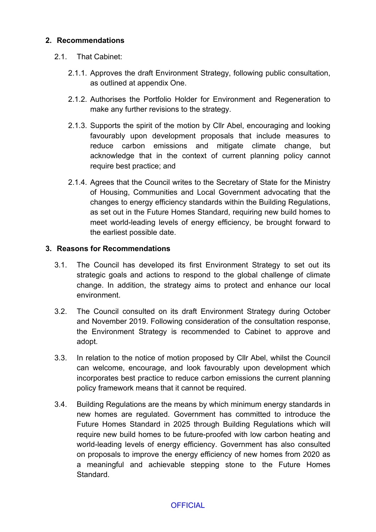### **2. Recommendations**

### 2.1. That Cabinet:

- 2.1.1. Approves the draft Environment Strategy, following public consultation, as outlined at appendix One.
- 2.1.2. Authorises the Portfolio Holder for Environment and Regeneration to make any further revisions to the strategy.
- 2.1.3. Supports the spirit of the motion by Cllr Abel, encouraging and looking favourably upon development proposals that include measures to reduce carbon emissions and mitigate climate change, but acknowledge that in the context of current planning policy cannot require best practice; and
- 2.1.4. Agrees that the Council writes to the Secretary of State for the Ministry of Housing, Communities and Local Government advocating that the changes to energy efficiency standards within the Building Regulations, as set out in the Future Homes Standard, requiring new build homes to meet world-leading levels of energy efficiency, be brought forward to the earliest possible date.

#### **3. Reasons for Recommendations**

- 3.1. The Council has developed its first Environment Strategy to set out its strategic goals and actions to respond to the global challenge of climate change. In addition, the strategy aims to protect and enhance our local environment.
- 3.2. The Council consulted on its draft Environment Strategy during October and November 2019. Following consideration of the consultation response, the Environment Strategy is recommended to Cabinet to approve and adopt.
- 3.3. In relation to the notice of motion proposed by Cllr Abel, whilst the Council can welcome, encourage, and look favourably upon development which incorporates best practice to reduce carbon emissions the current planning policy framework means that it cannot be required.
- 3.4. Building Regulations are the means by which minimum energy standards in new homes are regulated. Government has committed to introduce the Future Homes Standard in 2025 through Building Regulations which will require new build homes to be future-proofed with low carbon heating and world-leading levels of energy efficiency. Government has also consulted on proposals to improve the energy efficiency of new homes from 2020 as a meaningful and achievable stepping stone to the Future Homes **Standard**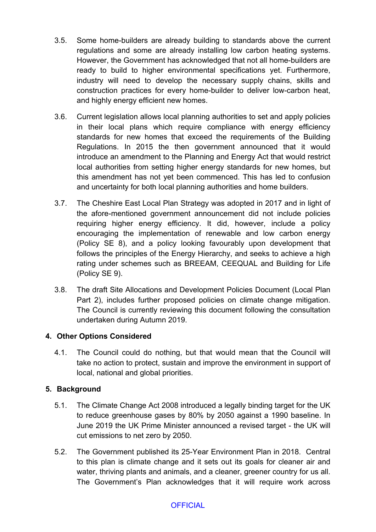- 3.5. Some home-builders are already building to standards above the current regulations and some are already installing low carbon heating systems. However, the Government has acknowledged that not all home-builders are ready to build to higher environmental specifications yet. Furthermore, industry will need to develop the necessary supply chains, skills and construction practices for every home-builder to deliver low-carbon heat, and highly energy efficient new homes.
- 3.6. Current legislation allows local planning authorities to set and apply policies in their local plans which require compliance with energy efficiency standards for new homes that exceed the requirements of the Building Regulations. In 2015 the then government announced that it would introduce an amendment to the Planning and Energy Act that would restrict local authorities from setting higher energy standards for new homes, but this amendment has not yet been commenced. This has led to confusion and uncertainty for both local planning authorities and home builders.
- 3.7. The Cheshire East Local Plan Strategy was adopted in 2017 and in light of the afore-mentioned government announcement did not include policies requiring higher energy efficiency. It did, however, include a policy encouraging the implementation of renewable and low carbon energy (Policy SE 8), and a policy looking favourably upon development that follows the principles of the Energy Hierarchy, and seeks to achieve a high rating under schemes such as BREEAM, CEEQUAL and Building for Life (Policy SE 9).
- 3.8. The draft Site Allocations and Development Policies Document (Local Plan Part 2), includes further proposed policies on climate change mitigation. The Council is currently reviewing this document following the consultation undertaken during Autumn 2019.

# **4. Other Options Considered**

4.1. The Council could do nothing, but that would mean that the Council will take no action to protect, sustain and improve the environment in support of local, national and global priorities.

# **5. Background**

- 5.1. The Climate Change Act 2008 introduced a legally binding target for the UK to reduce greenhouse gases by 80% by 2050 against a 1990 baseline. In June 2019 the UK Prime Minister announced a revised target - the UK will cut emissions to net zero by 2050.
- 5.2. The Government published its 25-Year Environment Plan in 2018. Central to this plan is climate change and it sets out its goals for cleaner air and water, thriving plants and animals, and a cleaner, greener country for us all. The Government's Plan acknowledges that it will require work across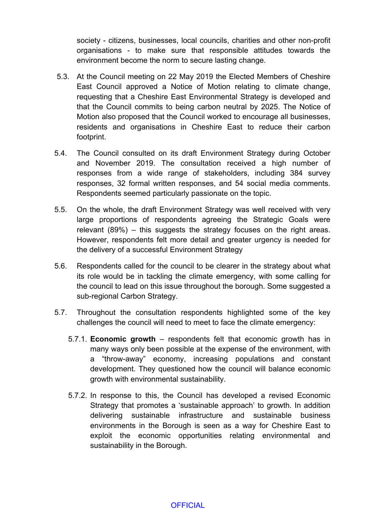society - citizens, businesses, local councils, charities and other non-profit organisations - to make sure that responsible attitudes towards the environment become the norm to secure lasting change.

- 5.3. At the Council meeting on 22 May 2019 the Elected Members of Cheshire East Council approved a Notice of Motion relating to climate change, requesting that a Cheshire East Environmental Strategy is developed and that the Council commits to being carbon neutral by 2025. The Notice of Motion also proposed that the Council worked to encourage all businesses, residents and organisations in Cheshire East to reduce their carbon footprint.
- 5.4. The Council consulted on its draft Environment Strategy during October and November 2019. The consultation received a high number of responses from a wide range of stakeholders, including 384 survey responses, 32 formal written responses, and 54 social media comments. Respondents seemed particularly passionate on the topic.
- 5.5. On the whole, the draft Environment Strategy was well received with very large proportions of respondents agreeing the Strategic Goals were relevant (89%) – this suggests the strategy focuses on the right areas. However, respondents felt more detail and greater urgency is needed for the delivery of a successful Environment Strategy
- 5.6. Respondents called for the council to be clearer in the strategy about what its role would be in tackling the climate emergency, with some calling for the council to lead on this issue throughout the borough. Some suggested a sub-regional Carbon Strategy.
- 5.7. Throughout the consultation respondents highlighted some of the key challenges the council will need to meet to face the climate emergency:
	- 5.7.1. **Economic growth** respondents felt that economic growth has in many ways only been possible at the expense of the environment, with a "throw-away" economy, increasing populations and constant development. They questioned how the council will balance economic growth with environmental sustainability.
	- 5.7.2. In response to this, the Council has developed a revised Economic Strategy that promotes a 'sustainable approach' to growth. In addition delivering sustainable infrastructure and sustainable business environments in the Borough is seen as a way for Cheshire East to exploit the economic opportunities relating environmental and sustainability in the Borough.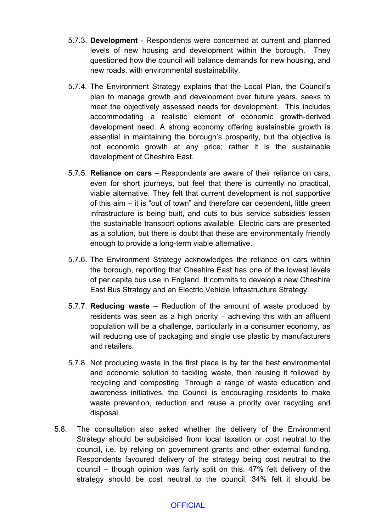- 5.7.3. **Development** Respondents were concerned at current and planned levels of new housing and development within the borough. They questioned how the council will balance demands for new housing, and new roads, with environmental sustainability.
- 5.7.4. The Environment Strategy explains that the Local Plan, the Council's plan to manage growth and development over future years, seeks to meet the objectively assessed needs for development. This includes accommodating a realistic element of economic growth-derived development need. A strong economy offering sustainable growth is essential in maintaining the borough's prosperity, but the objective is not economic growth at any price; rather it is the sustainable development of Cheshire East.
- 5.7.5. **Reliance on cars** Respondents are aware of their reliance on cars, even for short journeys, but feel that there is currently no practical, viable alternative. They felt that current development is not supportive of this aim – it is "out of town" and therefore car dependent, little green infrastructure is being built, and cuts to bus service subsidies lessen the sustainable transport options available. Electric cars are presented as a solution, but there is doubt that these are environmentally friendly enough to provide a long-term viable alternative.
- 5.7.6. The Environment Strategy acknowledges the reliance on cars within the borough, reporting that Cheshire East has one of the lowest levels of per capita bus use in England. It commits to develop a new Cheshire East Bus Strategy and an Electric Vehicle Infrastructure Strategy.
- 5.7.7. **Reducing waste** Reduction of the amount of waste produced by residents was seen as a high priority – achieving this with an affluent population will be a challenge, particularly in a consumer economy, as will reducing use of packaging and single use plastic by manufacturers and retailers.
- 5.7.8. Not producing waste in the first place is by far the best environmental and economic solution to tackling waste, then reusing it followed by recycling and composting. Through a range of waste education and awareness initiatives, the Council is encouraging residents to make waste prevention, reduction and reuse a priority over recycling and disposal.
- 5.8. The consultation also asked whether the delivery of the Environment Strategy should be subsidised from local taxation or cost neutral to the council, i.e. by relying on government grants and other external funding. Respondents favoured delivery of the strategy being cost neutral to the council – though opinion was fairly split on this. 47% felt delivery of the strategy should be cost neutral to the council, 34% felt it should be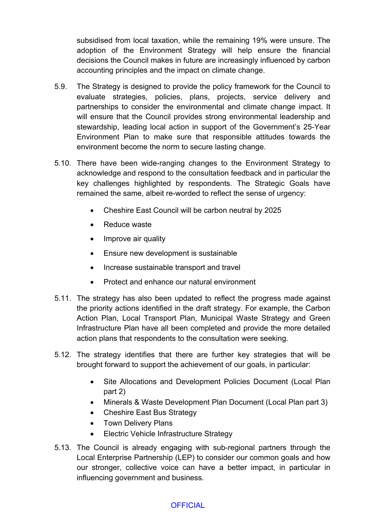subsidised from local taxation, while the remaining 19% were unsure. The adoption of the Environment Strategy will help ensure the financial decisions the Council makes in future are increasingly influenced by carbon accounting principles and the impact on climate change.

- 5.9. The Strategy is designed to provide the policy framework for the Council to evaluate strategies, policies, plans, projects, service delivery and partnerships to consider the environmental and climate change impact. It will ensure that the Council provides strong environmental leadership and stewardship, leading local action in support of the Government's 25-Year Environment Plan to make sure that responsible attitudes towards the environment become the norm to secure lasting change.
- 5.10. There have been wide-ranging changes to the Environment Strategy to acknowledge and respond to the consultation feedback and in particular the key challenges highlighted by respondents. The Strategic Goals have remained the same, albeit re-worded to reflect the sense of urgency:
	- Cheshire East Council will be carbon neutral by 2025
	- Reduce waste
	- Improve air quality
	- Ensure new development is sustainable
	- Increase sustainable transport and travel
	- Protect and enhance our natural environment
- 5.11. The strategy has also been updated to reflect the progress made against the priority actions identified in the draft strategy. For example, the Carbon Action Plan, Local Transport Plan, Municipal Waste Strategy and Green Infrastructure Plan have all been completed and provide the more detailed action plans that respondents to the consultation were seeking.
- 5.12. The strategy identifies that there are further key strategies that will be brought forward to support the achievement of our goals, in particular:
	- Site Allocations and Development Policies Document (Local Plan part 2)
	- Minerals & Waste Development Plan Document (Local Plan part 3)
	- Cheshire East Bus Strategy
	- Town Delivery Plans
	- Electric Vehicle Infrastructure Strategy
- 5.13. The Council is already engaging with sub-regional partners through the Local Enterprise Partnership (LEP) to consider our common goals and how our stronger, collective voice can have a better impact, in particular in influencing government and business.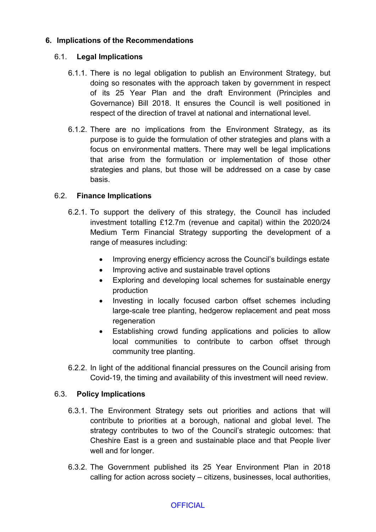# **6. Implications of the Recommendations**

# 6.1. **Legal Implications**

- 6.1.1. There is no legal obligation to publish an Environment Strategy, but doing so resonates with the approach taken by government in respect of its 25 Year Plan and the draft Environment (Principles and Governance) Bill 2018. It ensures the Council is well positioned in respect of the direction of travel at national and international level.
- 6.1.2. There are no implications from the Environment Strategy, as its purpose is to guide the formulation of other strategies and plans with a focus on environmental matters. There may well be legal implications that arise from the formulation or implementation of those other strategies and plans, but those will be addressed on a case by case basis.

### 6.2. **Finance Implications**

- 6.2.1. To support the delivery of this strategy, the Council has included investment totalling £12.7m (revenue and capital) within the 2020/24 Medium Term Financial Strategy supporting the development of a range of measures including:
	- Improving energy efficiency across the Council's buildings estate
	- Improving active and sustainable travel options
	- Exploring and developing local schemes for sustainable energy production
	- Investing in locally focused carbon offset schemes including large-scale tree planting, hedgerow replacement and peat moss regeneration
	- Establishing crowd funding applications and policies to allow local communities to contribute to carbon offset through community tree planting.
- 6.2.2. In light of the additional financial pressures on the Council arising from Covid-19, the timing and availability of this investment will need review.

#### 6.3. **Policy Implications**

- 6.3.1. The Environment Strategy sets out priorities and actions that will contribute to priorities at a borough, national and global level. The strategy contributes to two of the Council's strategic outcomes: that Cheshire East is a green and sustainable place and that People liver well and for longer.
- 6.3.2. The Government published its 25 Year Environment Plan in 2018 calling for action across society – citizens, businesses, local authorities,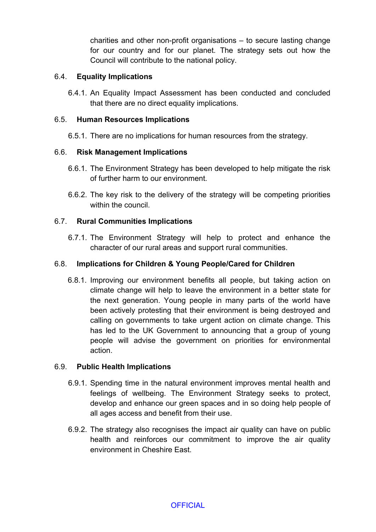charities and other non-profit organisations – to secure lasting change for our country and for our planet. The strategy sets out how the Council will contribute to the national policy.

# 6.4. **Equality Implications**

6.4.1. An Equality Impact Assessment has been conducted and concluded that there are no direct equality implications.

# 6.5. **Human Resources Implications**

6.5.1. There are no implications for human resources from the strategy.

# 6.6. **Risk Management Implications**

- 6.6.1. The Environment Strategy has been developed to help mitigate the risk of further harm to our environment.
- 6.6.2. The key risk to the delivery of the strategy will be competing priorities within the council.

# 6.7. **Rural Communities Implications**

6.7.1. The Environment Strategy will help to protect and enhance the character of our rural areas and support rural communities.

### 6.8. **Implications for Children & Young People/Cared for Children**

6.8.1. Improving our environment benefits all people, but taking action on climate change will help to leave the environment in a better state for the next generation. Young people in many parts of the world have been actively protesting that their environment is being destroyed and calling on governments to take urgent action on climate change. This has led to the UK Government to announcing that a group of young people will advise the government on priorities for environmental action.

# 6.9. **Public Health Implications**

- 6.9.1. Spending time in the natural environment improves mental health and feelings of wellbeing. The Environment Strategy seeks to protect, develop and enhance our green spaces and in so doing help people of all ages access and benefit from their use.
- 6.9.2. The strategy also recognises the impact air quality can have on public health and reinforces our commitment to improve the air quality environment in Cheshire East.